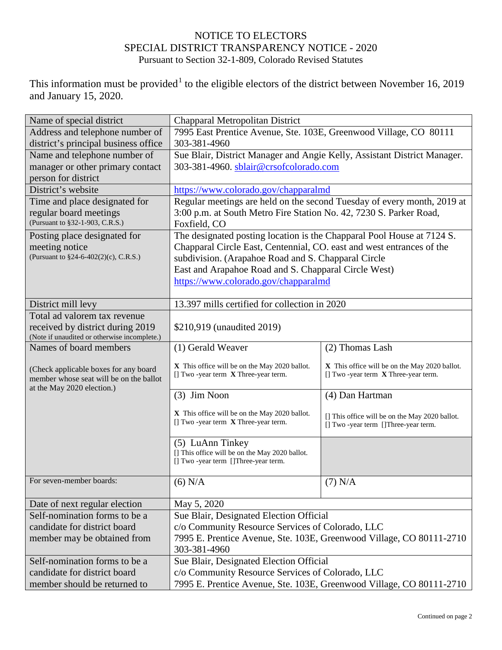## NOTICE TO ELECTORS SPECIAL DISTRICT TRANSPARENCY NOTICE - 2020 Pursuant to Section 32-1-809, Colorado Revised Statutes

This information must be provided<sup>[1](#page-1-0)</sup> to the eligible electors of the district between November 16, 2019 and January 15, 2020.

| Name of special district                     | Chapparal Metropolitan District                                          |                                                |  |
|----------------------------------------------|--------------------------------------------------------------------------|------------------------------------------------|--|
| Address and telephone number of              | 7995 East Prentice Avenue, Ste. 103E, Greenwood Village, CO 80111        |                                                |  |
| district's principal business office         | 303-381-4960                                                             |                                                |  |
| Name and telephone number of                 | Sue Blair, District Manager and Angie Kelly, Assistant District Manager. |                                                |  |
| manager or other primary contact             | 303-381-4960. sblair@crsofcolorado.com                                   |                                                |  |
| person for district                          |                                                                          |                                                |  |
| District's website                           | https://www.colorado.gov/chapparalmd                                     |                                                |  |
| Time and place designated for                | Regular meetings are held on the second Tuesday of every month, 2019 at  |                                                |  |
| regular board meetings                       | 3:00 p.m. at South Metro Fire Station No. 42, 7230 S. Parker Road,       |                                                |  |
| (Pursuant to §32-1-903, C.R.S.)              | Foxfield, CO                                                             |                                                |  |
| Posting place designated for                 | The designated posting location is the Chapparal Pool House at 7124 S.   |                                                |  |
| meeting notice                               | Chapparal Circle East, Centennial, CO. east and west entrances of the    |                                                |  |
| (Pursuant to §24-6-402(2)(c), C.R.S.)        | subdivision. (Arapahoe Road and S. Chapparal Circle                      |                                                |  |
|                                              | East and Arapahoe Road and S. Chapparal Circle West)                     |                                                |  |
|                                              | https://www.colorado.gov/chapparalmd                                     |                                                |  |
|                                              |                                                                          |                                                |  |
| District mill levy                           | 13.397 mills certified for collection in 2020                            |                                                |  |
| Total ad valorem tax revenue                 |                                                                          |                                                |  |
| received by district during 2019             | \$210,919 (unaudited 2019)                                               |                                                |  |
| (Note if unaudited or otherwise incomplete.) |                                                                          |                                                |  |
| Names of board members                       | (1) Gerald Weaver                                                        | (2) Thomas Lash                                |  |
| (Check applicable boxes for any board        | X This office will be on the May 2020 ballot.                            | X This office will be on the May 2020 ballot.  |  |
| member whose seat will be on the ballot      | [] Two -year term X Three-year term.                                     | $[] Two -year term \ X Three-year term.$       |  |
| at the May 2020 election.)                   |                                                                          |                                                |  |
|                                              | (3) Jim Noon                                                             | (4) Dan Hartman                                |  |
|                                              | X This office will be on the May 2020 ballot.                            | [] This office will be on the May 2020 ballot. |  |
|                                              | [] Two -year term X Three-year term.                                     | [] Two -year term []Three-year term.           |  |
|                                              |                                                                          |                                                |  |
|                                              | (5) LuAnn Tinkey<br>[] This office will be on the May 2020 ballot.       |                                                |  |
|                                              | [] Two -year term []Three-year term.                                     |                                                |  |
|                                              |                                                                          |                                                |  |
| For seven-member boards:                     | $(6)$ N/A                                                                | $(7)$ N/A                                      |  |
|                                              |                                                                          |                                                |  |
| Date of next regular election                | May 5, 2020                                                              |                                                |  |
| Self-nomination forms to be a                | Sue Blair, Designated Election Official                                  |                                                |  |
| candidate for district board                 | c/o Community Resource Services of Colorado, LLC                         |                                                |  |
| member may be obtained from                  | 7995 E. Prentice Avenue, Ste. 103E, Greenwood Village, CO 80111-2710     |                                                |  |
|                                              | 303-381-4960                                                             |                                                |  |
| Self-nomination forms to be a                | Sue Blair, Designated Election Official                                  |                                                |  |
| candidate for district board                 | c/o Community Resource Services of Colorado, LLC                         |                                                |  |
| member should be returned to                 | 7995 E. Prentice Avenue, Ste. 103E, Greenwood Village, CO 80111-2710     |                                                |  |